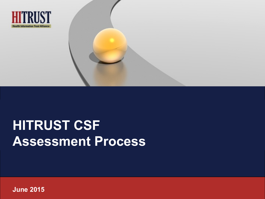

# **HITRUST CSF Assessment Process**

**June 2015**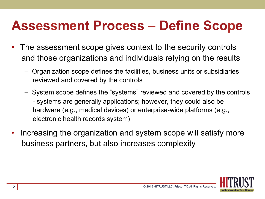## **Assessment Process – Define Scope**

- The assessment scope gives context to the security controls and those organizations and individuals relying on the results
	- Organization scope defines the facilities, business units or subsidiaries reviewed and covered by the controls
	- System scope defines the "systems" reviewed and covered by the controls - systems are generally applications; however, they could also be hardware (e.g., medical devices) or enterprise-wide platforms (e.g., electronic health records system)
- Increasing the organization and system scope will satisfy more business partners, but also increases complexity

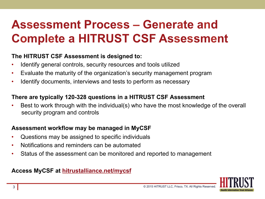### **Assessment Process – Generate and Complete a HITRUST CSF Assessment**

#### **The HITRUST CSF Assessment is designed to:**

- Identify general controls, security resources and tools utilized
- Evaluate the maturity of the organization's security management program
- Identify documents, interviews and tests to perform as necessary

#### **There are typically 120-328 questions in a HITRUST CSF Assessment**

Best to work through with the individual(s) who have the most knowledge of the overall security program and controls

#### **Assessment workflow may be managed in MyCSF**

- Questions may be assigned to specific individuals
- Notifications and reminders can be automated
- Status of the assessment can be monitored and reported to management

#### **Access MyCSF at hitrustalliance.net/mycsf**

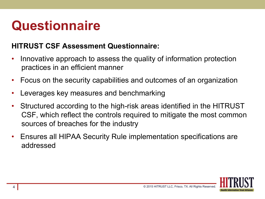# **Questionnaire**

#### **HITRUST CSF Assessment Questionnaire:**

- Innovative approach to assess the quality of information protection practices in an efficient manner
- Focus on the security capabilities and outcomes of an organization
- Leverages key measures and benchmarking
- Structured according to the high-risk areas identified in the HITRUST CSF, which reflect the controls required to mitigate the most common sources of breaches for the industry
- Ensures all HIPAA Security Rule implementation specifications are addressed

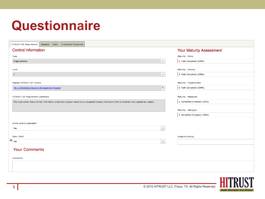# **Questionnaire**

| <b>HITRUST CSF Requirement</b><br>Assessor<br>Diary<br><b>Illustrative Procedures</b>                                                        |              |                                 |  |  |  |  |  |
|----------------------------------------------------------------------------------------------------------------------------------------------|--------------|---------------------------------|--|--|--|--|--|
| <b>Control Information</b>                                                                                                                   |              | <b>Your Maturity Assessment</b> |  |  |  |  |  |
| <b>Type</b>                                                                                                                                  |              | Maturity - Policy               |  |  |  |  |  |
| Organizational                                                                                                                               | $\hat{\div}$ | 5. Fully Compliant (100%)       |  |  |  |  |  |
| Level                                                                                                                                        |              | Maturity - Process              |  |  |  |  |  |
|                                                                                                                                              |              |                                 |  |  |  |  |  |
| $\mathbf{1}$                                                                                                                                 | $\div$       | 5. Fully Compliant (100%)       |  |  |  |  |  |
| Related HITRUST CSF Control                                                                                                                  |              | Maturity - Implemented          |  |  |  |  |  |
| 00.a Information Security Management Program                                                                                                 | $\mathsf q$  | 5. Fully Compliant (100%)       |  |  |  |  |  |
|                                                                                                                                              |              |                                 |  |  |  |  |  |
| <b>HITRUST CSF Requirement Statement</b>                                                                                                     |              | Maturity - Measured             |  |  |  |  |  |
| The organization has a formal information protection program based on an accepted industry framework that is reviewed and updated as needed. |              | 2. Somewhat Compliant (25%)     |  |  |  |  |  |
|                                                                                                                                              |              |                                 |  |  |  |  |  |
|                                                                                                                                              |              | Maturity - Managed              |  |  |  |  |  |
|                                                                                                                                              |              | 2. Somewhat Compliant (25%)     |  |  |  |  |  |
|                                                                                                                                              |              |                                 |  |  |  |  |  |
| Is this control applicable?                                                                                                                  |              |                                 |  |  |  |  |  |
| Yes                                                                                                                                          | $\hat{\div}$ |                                 |  |  |  |  |  |
| <b>Enter CAPs?</b>                                                                                                                           |              |                                 |  |  |  |  |  |
| Yes                                                                                                                                          |              | Assigned User(s)                |  |  |  |  |  |
|                                                                                                                                              | $\hat{\div}$ |                                 |  |  |  |  |  |
| <b>Your Comments</b>                                                                                                                         |              |                                 |  |  |  |  |  |
|                                                                                                                                              |              |                                 |  |  |  |  |  |
| <b>Comments</b>                                                                                                                              |              |                                 |  |  |  |  |  |
|                                                                                                                                              |              |                                 |  |  |  |  |  |
|                                                                                                                                              |              |                                 |  |  |  |  |  |
|                                                                                                                                              |              |                                 |  |  |  |  |  |

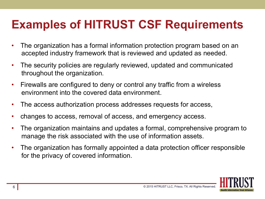### **Examples of HITRUST CSF Requirements**

- The organization has a formal information protection program based on an accepted industry framework that is reviewed and updated as needed.
- The security policies are regularly reviewed, updated and communicated throughout the organization.
- Firewalls are configured to deny or control any traffic from a wireless environment into the covered data environment.
- The access authorization process addresses requests for access,
- changes to access, removal of access, and emergency access.
- The organization maintains and updates a formal, comprehensive program to manage the risk associated with the use of information assets.
- The organization has formally appointed a data protection officer responsible for the privacy of covered information.

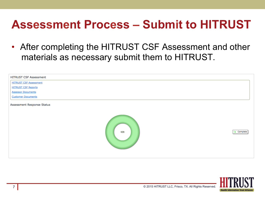### **Assessment Process – Submit to HITRUST**

• After completing the HITRUST CSF Assessment and other materials as necessary submit them to HITRUST.

| <b>HITRUST CSF Assessment</b> |     |                   |
|-------------------------------|-----|-------------------|
| <b>HITRUST CSF Assessment</b> |     |                   |
| <b>HITRUST CSF Reports</b>    |     |                   |
| <b>Assessor Documents</b>     |     |                   |
| <b>Customer Documents</b>     |     |                   |
| Assessment Response Status    |     |                   |
|                               | 439 | <b>O</b> Complete |

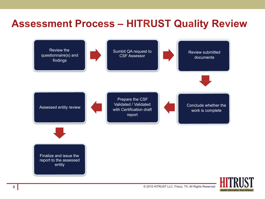#### **Assessment Process – HITRUST Quality Review**



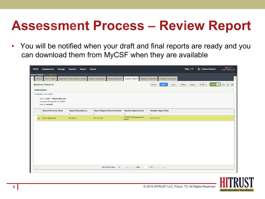## **Assessment Process – Review Report**

• You will be notified when your draft and final reports are ready and you can download them from MyCSF when they are available

| <b>HOME</b>         | Assessments                                                                              | Manage | Records                             | Report                     | Search                     |                                      |                                            |                    |                                         |                             |      |                  | Help $\mathbf{v} \bullet \mathbf{v}$ <b>1</b> $\mathbf{v}$ Steve Claydon | <b>MACST</b><br>Leverages 3 & R sam GRC |
|---------------------|------------------------------------------------------------------------------------------|--------|-------------------------------------|----------------------------|----------------------------|--------------------------------------|--------------------------------------------|--------------------|-----------------------------------------|-----------------------------|------|------------------|--------------------------------------------------------------------------|-----------------------------------------|
|                     | Baseline Reports » eHealthrx-01                                                          |        |                                     |                            |                            |                                      |                                            |                    |                                         |                             |      |                  |                                                                          |                                         |
| General             | MyCSF Library                                                                            |        | Organization Administrative Details |                            | <b>Baseline Assessment</b> | Detail Assessment                    | <b>Baseline Reports</b>                    | Assessor Documents |                                         | <b>Customer Documents</b>   |      |                  |                                                                          |                                         |
|                     | <b>Baseline Reports</b>                                                                  |        |                                     |                            |                            |                                      |                                            |                    | Refresh                                 | Add                         | Open | Delete<br>Assign | Action '                                                                 |                                         |
| <b>Instructions</b> |                                                                                          |        |                                     |                            |                            |                                      |                                            |                    |                                         |                             |      |                  |                                                                          |                                         |
|                     | To request a new report:                                                                 |        |                                     |                            |                            |                                      |                                            |                    |                                         |                             |      |                  |                                                                          |                                         |
| $\sim$<br>$\sim$    | - click on Add -> Report Request<br>complete all required information<br>click on Submit |        |                                     |                            |                            |                                      |                                            |                    |                                         |                             |      |                  |                                                                          |                                         |
|                     | <b>Record Workflow State</b>                                                             |        |                                     | <b>Report Requested by</b> |                            | <b>Report Request Date Submitted</b> | <b>Baseline Report Name</b>                |                    |                                         | <b>Baseline Report Date</b> |      |                  |                                                                          |                                         |
|                     | $\boldsymbol{\nabla}$                                                                    |        | $\boldsymbol{\nabla}$               |                            | $\nabla$                   |                                      | $\boldsymbol{\nabla}$                      |                    | $\mathbbmss{}$                          |                             |      |                  |                                                                          |                                         |
|                     | <b>Report Requested</b>                                                                  |        | student01                           |                            | 2013-07-02                 |                                      | <b>HITRUST Self Assessment</b><br>Report   |                    | 2013-07-02                              |                             |      |                  |                                                                          |                                         |
|                     |                                                                                          |        |                                     |                            |                            |                                      |                                            |                    |                                         |                             |      |                  |                                                                          |                                         |
|                     |                                                                                          |        |                                     |                            |                            |                                      |                                            |                    |                                         |                             |      |                  |                                                                          |                                         |
|                     |                                                                                          |        |                                     |                            |                            | Records per page<br>50               | $\vert \ll \vert$ $\vert \ll \vert$ Page 1 |                    | $\div$ of 1 $\rightarrow$ $\rightarrow$ |                             |      |                  |                                                                          |                                         |
|                     |                                                                                          |        |                                     |                            |                            |                                      |                                            |                    |                                         |                             |      |                  |                                                                          |                                         |

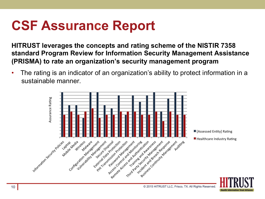# **CSF Assurance Report**

**HITRUST leverages the concepts and rating scheme of the NISTIR 7358 standard Program Review for Information Security Management Assistance (PRISMA) to rate an organization's security management program** 

• The rating is an indicator of an organization's ability to protect information in a sustainable manner.